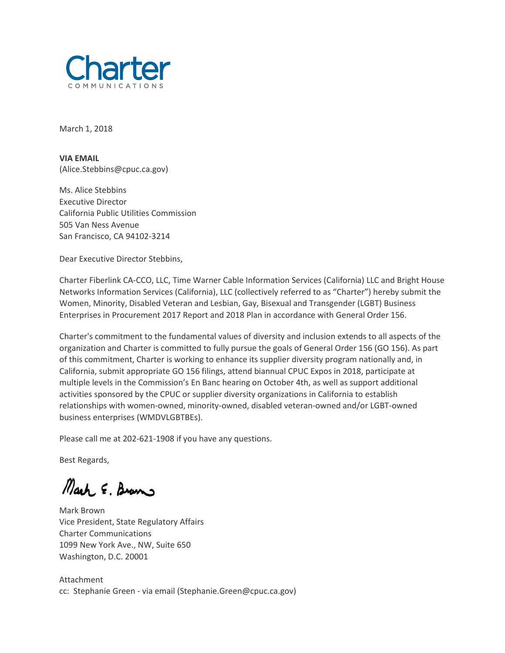

March 1, 2018

**VIA EMAIL** (Alice.Stebbins@cpuc.ca.gov)

Ms. Alice Stebbins Executive Director California Public Utilities Commission 505 Van Ness Avenue San Francisco, CA 94102-3214

Dear Executive Director Stebbins,

Charter Fiberlink CA-CCO, LLC, Time Warner Cable Information Services (California) LLC and Bright House Networks Information Services (California), LLC (collectively referred to as "Charter") hereby submit the Women, Minority, Disabled Veteran and Lesbian, Gay, Bisexual and Transgender (LGBT) Business Enterprises in Procurement 2017 Report and 2018 Plan in accordance with General Order 156.

Charter's commitment to the fundamental values of diversity and inclusion extends to all aspects of the organization and Charter is committed to fully pursue the goals of General Order 156 (GO 156). As part of this commitment, Charter is working to enhance its supplier diversity program nationally and, in California, submit appropriate GO 156 filings, attend biannual CPUC Expos in 2018, participate at multiple levels in the Commission's En Banc hearing on October 4th, as well as support additional activities sponsored by the CPUC or supplier diversity organizations in California to establish relationships with women-owned, minority-owned, disabled veteran-owned and/or LGBT-owned business enterprises (WMDVLGBTBEs).

Please call me at 202-621-1908 if you have any questions.

Best Regards,

Mark E. Brams

Mark Brown Vice President, State Regulatory Affairs Charter Communications 1099 New York Ave., NW, Suite 650 Washington, D.C. 20001

Attachment cc: Stephanie Green - via email (Stephanie.Green@cpuc.ca.gov)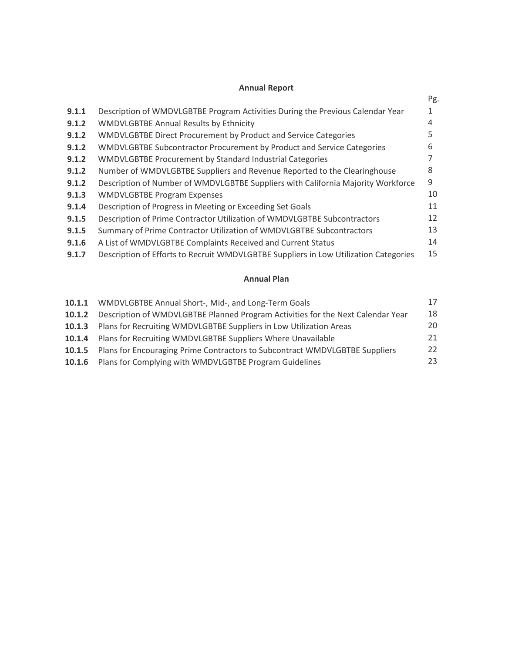## **Annual Report**

|                                                                                      | Pg. |
|--------------------------------------------------------------------------------------|-----|
| Description of WMDVLGBTBE Program Activities During the Previous Calendar Year       |     |
| <b>WMDVLGBTBE Annual Results by Ethnicity</b>                                        | 4   |
| WMDVLGBTBE Direct Procurement by Product and Service Categories                      | 5   |
| WMDVLGBTBE Subcontractor Procurement by Product and Service Categories               | 6   |
| <b>WMDVLGBTBE Procurement by Standard Industrial Categories</b>                      |     |
| Number of WMDVLGBTBE Suppliers and Revenue Reported to the Clearinghouse             | 8   |
| Description of Number of WMDVLGBTBE Suppliers with California Majority Workforce     | 9   |
| <b>WMDVLGBTBE Program Expenses</b>                                                   | 10  |
| Description of Progress in Meeting or Exceeding Set Goals                            | 11  |
| Description of Prime Contractor Utilization of WMDVLGBTBE Subcontractors             | 12  |
| Summary of Prime Contractor Utilization of WMDVLGBTBE Subcontractors                 | 13  |
| A List of WMDVLGBTBE Complaints Received and Current Status                          | 14  |
| Description of Efforts to Recruit WMDVLGBTBE Suppliers in Low Utilization Categories | 15  |
|                                                                                      |     |

# **Annual Plan**

|        | 10.1.1 WMDVLGBTBE Annual Short-, Mid-, and Long-Term Goals                         | 17 |
|--------|------------------------------------------------------------------------------------|----|
| 10.1.2 | Description of WMDVLGBTBE Planned Program Activities for the Next Calendar Year    | 18 |
|        | 10.1.3 Plans for Recruiting WMDVLGBTBE Suppliers in Low Utilization Areas          | 20 |
|        | 10.1.4 Plans for Recruiting WMDVLGBTBE Suppliers Where Unavailable                 | 21 |
|        | 10.1.5 Plans for Encouraging Prime Contractors to Subcontract WMDVLGBTBE Suppliers | 22 |
|        | 10.1.6 Plans for Complying with WMDVLGBTBE Program Guidelines                      | 23 |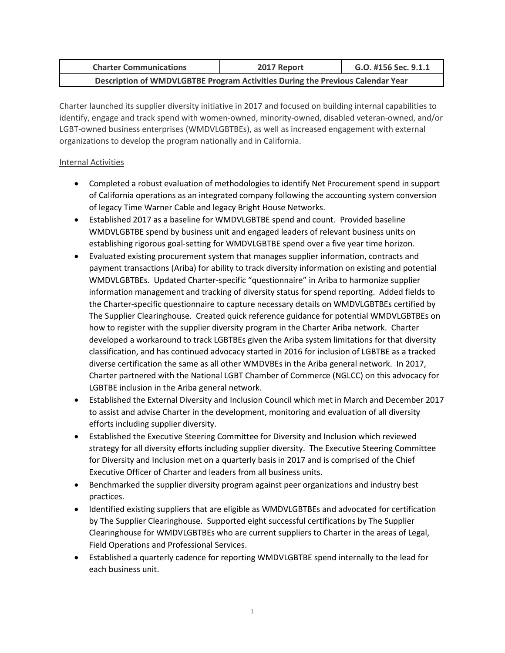| <b>Charter Communications</b>                                                  | 2017 Report | G.O. #156 Sec. 9.1.1 |  |  |  |
|--------------------------------------------------------------------------------|-------------|----------------------|--|--|--|
| Description of WMDVLGBTBE Program Activities During the Previous Calendar Year |             |                      |  |  |  |

Charter launched its supplier diversity initiative in 2017 and focused on building internal capabilities to identify, engage and track spend with women-owned, minority-owned, disabled veteran-owned, and/or LGBT-owned business enterprises (WMDVLGBTBEs), as well as increased engagement with external organizations to develop the program nationally and in California.

#### Internal Activities

- Completed a robust evaluation of methodologies to identify Net Procurement spend in support of California operations as an integrated company following the accounting system conversion of legacy Time Warner Cable and legacy Bright House Networks.
- Established 2017 as a baseline for WMDVLGBTBE spend and count. Provided baseline WMDVLGBTBE spend by business unit and engaged leaders of relevant business units on establishing rigorous goal-setting for WMDVLGBTBE spend over a five year time horizon.
- Evaluated existing procurement system that manages supplier information, contracts and payment transactions (Ariba) for ability to track diversity information on existing and potential WMDVLGBTBEs. Updated Charter-specific "questionnaire" in Ariba to harmonize supplier information management and tracking of diversity status for spend reporting. Added fields to the Charter-specific questionnaire to capture necessary details on WMDVLGBTBEs certified by The Supplier Clearinghouse. Created quick reference guidance for potential WMDVLGBTBEs on how to register with the supplier diversity program in the Charter Ariba network. Charter developed a workaround to track LGBTBEs given the Ariba system limitations for that diversity classification, and has continued advocacy started in 2016 for inclusion of LGBTBE as a tracked diverse certification the same as all other WMDVBEs in the Ariba general network. In 2017, Charter partnered with the National LGBT Chamber of Commerce (NGLCC) on this advocacy for LGBTBE inclusion in the Ariba general network.
- Established the External Diversity and Inclusion Council which met in March and December 2017 to assist and advise Charter in the development, monitoring and evaluation of all diversity efforts including supplier diversity.
- Established the Executive Steering Committee for Diversity and Inclusion which reviewed strategy for all diversity efforts including supplier diversity. The Executive Steering Committee for Diversity and Inclusion met on a quarterly basis in 2017 and is comprised of the Chief Executive Officer of Charter and leaders from all business units.
- Benchmarked the supplier diversity program against peer organizations and industry best practices.
- Identified existing suppliers that are eligible as WMDVLGBTBEs and advocated for certification by The Supplier Clearinghouse. Supported eight successful certifications by The Supplier Clearinghouse for WMDVLGBTBEs who are current suppliers to Charter in the areas of Legal, Field Operations and Professional Services.
- Established a quarterly cadence for reporting WMDVLGBTBE spend internally to the lead for each business unit.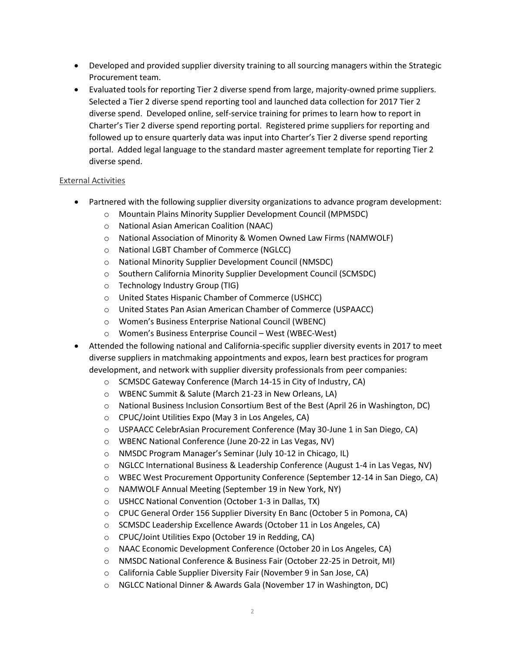- Developed and provided supplier diversity training to all sourcing managers within the Strategic Procurement team.
- Evaluated tools for reporting Tier 2 diverse spend from large, majority-owned prime suppliers. Selected a Tier 2 diverse spend reporting tool and launched data collection for 2017 Tier 2 diverse spend. Developed online, self-service training for primes to learn how to report in Charter's Tier 2 diverse spend reporting portal. Registered prime suppliers for reporting and followed up to ensure quarterly data was input into Charter's Tier 2 diverse spend reporting portal. Added legal language to the standard master agreement template for reporting Tier 2 diverse spend.

#### External Activities

- Partnered with the following supplier diversity organizations to advance program development:
	- o Mountain Plains Minority Supplier Development Council (MPMSDC)
	- o National Asian American Coalition (NAAC)
	- o National Association of Minority & Women Owned Law Firms (NAMWOLF)
	- o National LGBT Chamber of Commerce (NGLCC)
	- o National Minority Supplier Development Council (NMSDC)
	- o Southern California Minority Supplier Development Council (SCMSDC)
	- o Technology Industry Group (TIG)
	- o United States Hispanic Chamber of Commerce (USHCC)
	- o United States Pan Asian American Chamber of Commerce (USPAACC)
	- o Women's Business Enterprise National Council (WBENC)
	- o Women's Business Enterprise Council West (WBEC-West)
- Attended the following national and California-specific supplier diversity events in 2017 to meet diverse suppliers in matchmaking appointments and expos, learn best practices for program development, and network with supplier diversity professionals from peer companies:
	- o SCMSDC Gateway Conference (March 14-15 in City of Industry, CA)
	- o WBENC Summit & Salute (March 21-23 in New Orleans, LA)
	- o National Business Inclusion Consortium Best of the Best (April 26 in Washington, DC)
	- o CPUC/Joint Utilities Expo (May 3 in Los Angeles, CA)
	- o USPAACC CelebrAsian Procurement Conference (May 30-June 1 in San Diego, CA)
	- o WBENC National Conference (June 20-22 in Las Vegas, NV)
	- o NMSDC Program Manager's Seminar (July 10-12 in Chicago, IL)
	- o NGLCC International Business & Leadership Conference (August 1-4 in Las Vegas, NV)
	- o WBEC West Procurement Opportunity Conference (September 12-14 in San Diego, CA)
	- o NAMWOLF Annual Meeting (September 19 in New York, NY)
	- o USHCC National Convention (October 1-3 in Dallas, TX)
	- o CPUC General Order 156 Supplier Diversity En Banc (October 5 in Pomona, CA)
	- o SCMSDC Leadership Excellence Awards (October 11 in Los Angeles, CA)
	- o CPUC/Joint Utilities Expo (October 19 in Redding, CA)
	- o NAAC Economic Development Conference (October 20 in Los Angeles, CA)
	- o NMSDC National Conference & Business Fair (October 22-25 in Detroit, MI)
	- o California Cable Supplier Diversity Fair (November 9 in San Jose, CA)
	- o NGLCC National Dinner & Awards Gala (November 17 in Washington, DC)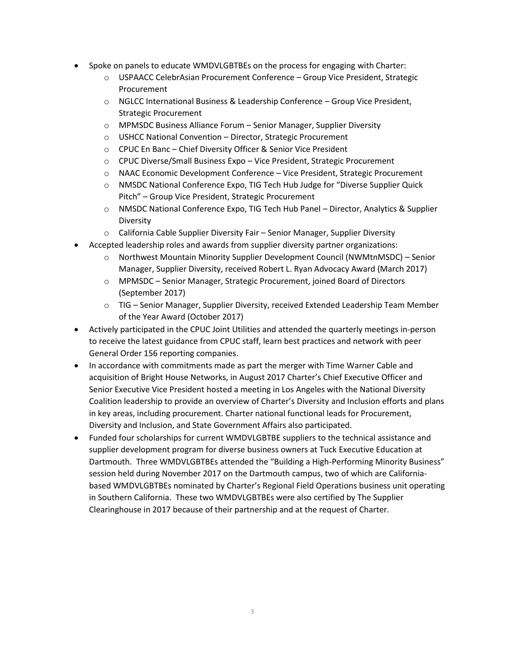- Spoke on panels to educate WMDVLGBTBEs on the process for engaging with Charter:
	- o USPAACC CelebrAsian Procurement Conference Group Vice President, Strategic Procurement
	- o NGLCC International Business & Leadership Conference Group Vice President, Strategic Procurement
	- o MPMSDC Business Alliance Forum Senior Manager, Supplier Diversity
	- o USHCC National Convention Director, Strategic Procurement
	- o CPUC En Banc Chief Diversity Officer & Senior Vice President
	- o CPUC Diverse/Small Business Expo Vice President, Strategic Procurement
	- o NAAC Economic Development Conference Vice President, Strategic Procurement
	- o NMSDC National Conference Expo, TIG Tech Hub Judge for "Diverse Supplier Quick Pitch" – Group Vice President, Strategic Procurement
	- o NMSDC National Conference Expo, TIG Tech Hub Panel Director, Analytics & Supplier Diversity
	- $\circ$  California Cable Supplier Diversity Fair Senior Manager, Supplier Diversity
- Accepted leadership roles and awards from supplier diversity partner organizations:
	- o Northwest Mountain Minority Supplier Development Council (NWMtnMSDC) Senior Manager, Supplier Diversity, received Robert L. Ryan Advocacy Award (March 2017)
	- o MPMSDC Senior Manager, Strategic Procurement, joined Board of Directors (September 2017)
	- o TIG Senior Manager, Supplier Diversity, received Extended Leadership Team Member of the Year Award (October 2017)
- Actively participated in the CPUC Joint Utilities and attended the quarterly meetings in-person to receive the latest guidance from CPUC staff, learn best practices and network with peer General Order 156 reporting companies.
- In accordance with commitments made as part the merger with Time Warner Cable and acquisition of Bright House Networks, in August 2017 Charter's Chief Executive Officer and Senior Executive Vice President hosted a meeting in Los Angeles with the National Diversity Coalition leadership to provide an overview of Charter's Diversity and Inclusion efforts and plans in key areas, including procurement. Charter national functional leads for Procurement, Diversity and Inclusion, and State Government Affairs also participated.
- Funded four scholarships for current WMDVLGBTBE suppliers to the technical assistance and supplier development program for diverse business owners at Tuck Executive Education at Dartmouth. Three WMDVLGBTBEs attended the "Building a High-Performing Minority Business" session held during November 2017 on the Dartmouth campus, two of which are Californiabased WMDVLGBTBEs nominated by Charter's Regional Field Operations business unit operating in Southern California. These two WMDVLGBTBEs were also certified by The Supplier Clearinghouse in 2017 because of their partnership and at the request of Charter.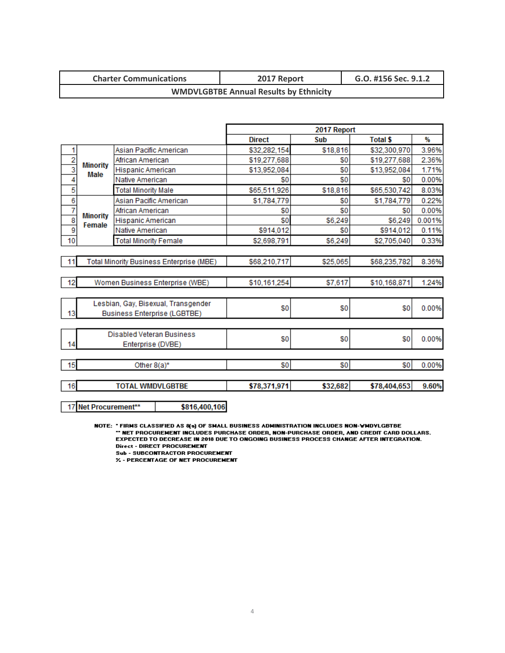| <b>Charter Communications</b>                 | 2017 Report | G.O. #156 Sec. 9.1.2 |  |  |
|-----------------------------------------------|-------------|----------------------|--|--|
| <b>WMDVLGBTBE Annual Results by Ethnicity</b> |             |                      |  |  |

|                |                           |                              |                                          |               | 2017 Report  |                 |        |
|----------------|---------------------------|------------------------------|------------------------------------------|---------------|--------------|-----------------|--------|
|                |                           |                              |                                          | <b>Direct</b> | Sub          | <b>Total \$</b> | %      |
| 1              |                           | Asian Pacific American       |                                          | \$32,282,154  | \$18,816     | \$32,300,970    | 3.96%  |
| $\frac{2}{3}$  |                           | African American             |                                          | \$19,277,688  | \$0          | \$19,277,688    | 2.36%  |
|                | <b>Minority</b><br>Male   | Hispanic American            |                                          | \$13,952,084  | \$0          | \$13,952,084    | 1.71%  |
| 4              |                           | Native American              |                                          | \$0           | \$0          | \$0             | 0.00%  |
| 5              |                           | <b>Total Minority Male</b>   |                                          | \$65,511,926  | \$18,816     | \$65,530,742    | 8.03%  |
| 6              |                           | Asian Pacific American       |                                          | \$1,784,779   | \$0          | \$1,784,779     | 0.22%  |
| $\overline{7}$ |                           | African American             |                                          | \$0           | \$0          | \$0             | 0.00%  |
| $\frac{8}{9}$  | <b>Minority</b><br>Female | Hispanic American            |                                          | \$0           | \$6,249      | \$6,249         | 0.001% |
|                |                           | Native American              |                                          | \$914,012     | \$0          | \$914,012       | 0.11%  |
| 10             |                           | <b>Total Minority Female</b> |                                          | \$2,698,791   | \$6,249      | \$2,705,040     | 0.33%  |
|                |                           |                              |                                          |               |              |                 |        |
| 11             |                           |                              | Total Minority Business Enterprise (MBE) | \$68,210,717  | \$25,065     | \$68,235,782    | 8.36%  |
|                |                           |                              |                                          |               |              |                 |        |
| 12             |                           |                              | Women Business Enterprise (WBE)          | \$10,161,254  | \$7,617      | \$10,168,871    | 1.24%  |
|                |                           |                              |                                          |               |              |                 |        |
|                |                           |                              | Lesbian, Gay, Bisexual, Transgender      |               |              |                 |        |
| 13             |                           |                              | <b>Business Enterprise (LGBTBE)</b>      | \$0           | \$0          | \$0             | 0.00%  |
|                |                           |                              |                                          |               |              |                 |        |
|                |                           | Disabled Veteran Business    |                                          |               |              |                 |        |
| 14             |                           | Enterprise (DVBE)            |                                          | \$0           | \$0          | \$0             | 0.00%  |
|                |                           |                              |                                          |               |              |                 |        |
| 15             |                           | Other 8(a)*                  |                                          | \$0           | \$0          | \$0             | 0.00%  |
|                |                           |                              |                                          |               |              |                 |        |
| 16             | <b>TOTAL WMDVLGBTBE</b>   |                              | \$78,371,971                             | \$32,682      | \$78,404,653 | 9.60%           |        |
|                |                           |                              |                                          |               |              |                 |        |
|                | 17 Net Procurement**      |                              | \$816,400,106                            |               |              |                 |        |

NOTE: "FIRMS CLASSIFIED AS 8(a) OF SMALL BUSINESS ADMINISTRATION INCLUDES NON-VMDYLGBTBE<br>"NET PROCUREMENT INCLUDES PURCHASE ORDER, NON-PURCHASE ORDER, AND CREDIT CARD DOLLARS."<br>EXPECTED TO DECREASE IN 2018 DUE TO ONGOING B **Direct - DIRECT PROCUREMENT** 

Sub - SUBCONTRACTOR PROCUREMENT<br>% - PERCENTAGE OF NET PROCUREMENT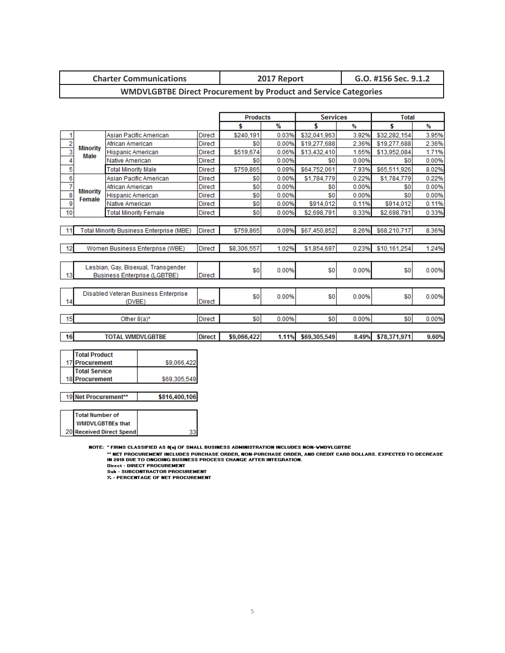|--|

### **WMDVLGBTBE Direct Procurement by Product and Service Categories**

|                                      |                           |                                          |               | <b>Products</b> |       | <b>Services</b> |       | <b>Total</b> |       |
|--------------------------------------|---------------------------|------------------------------------------|---------------|-----------------|-------|-----------------|-------|--------------|-------|
|                                      |                           |                                          |               | \$              | %     | \$              | ₩     | \$           | ₩     |
| 1                                    |                           | Asian Pacific American                   | <b>Direct</b> | \$240.191       | 0.03% | \$32.041.963    | 3.92% | \$32,282,154 | 3.95% |
| 2                                    | <b>Minority</b>           | African American                         | <b>Direct</b> | \$0             | 0.00% | \$19,277,688    | 2.36% | \$19,277,688 | 2.36% |
| $\overline{\overline{\overline{3}}}$ | Male                      | <b>Hispanic American</b>                 | <b>Direct</b> | \$519,674       | 0.06% | \$13,432,410    | 1.65% | \$13,952,084 | 1.71% |
| 4                                    |                           | Native American                          | <b>Direct</b> | \$0             | 0.00% | \$0             | 0.00% | \$0          | 0.00% |
| 5                                    |                           | <b>Total Minority Male</b>               | <b>Direct</b> | \$759,865       | 0.09% | \$64,752,061    | 7.93% | \$65,511,926 | 8.02% |
| 6                                    |                           | Asian Pacific American                   | <b>Direct</b> | \$0             | 0.00% | \$1,784,779     | 0.22% | \$1,784,779  | 0.22% |
| 7                                    |                           | African American                         | <b>Direct</b> | \$0             | 0.00% | \$0             | 0.00% | \$0          | 0.00% |
| $\overline{\mathbf{8}}$              | <b>Minority</b><br>Female | Hispanic American                        | <b>Direct</b> | \$0             | 0.00% | \$0             | 0.00% | \$0          | 0.00% |
| 9                                    |                           | Native American                          | Direct        | \$0             | 0.00% | \$914,012       | 0.11% | \$914,012    | 0.11% |
| 10                                   |                           | <b>Total Minority Female</b>             | <b>Direct</b> | \$0             | 0.00% | \$2,698,791     | 0.33% | \$2,698,791  | 0.33% |
|                                      |                           |                                          |               |                 |       |                 |       |              |       |
| 11                                   |                           | Total Minority Business Enterprise (MBE) | <b>Direct</b> | \$759,865       | 0.09% | \$67.450.852    | 8.26% | \$68,210,717 | 8.36% |
|                                      |                           |                                          |               |                 |       |                 |       |              |       |
| -12                                  |                           | Women Business Enterprise (WBE)          | <b>Direct</b> | \$8,306,557     | 1.02% | \$1,854,697     | 0.23% | \$10,161,254 | 1.24% |
|                                      |                           |                                          |               |                 |       |                 |       |              |       |
|                                      |                           | Lesbian, Gay, Bisexual, Transgender      |               |                 |       |                 |       |              |       |
| 13                                   |                           | <b>Business Enterprise (LGBTBE)</b>      | <b>Direct</b> | \$0             | 0.00% | \$0             | 0.00% | \$0          | 0.00% |
|                                      |                           |                                          |               |                 |       |                 |       |              |       |
|                                      |                           | Disabled Veteran Business Enterprise     |               |                 |       |                 |       |              |       |
| 14                                   |                           | (DVBE)                                   | Direct        | \$0             | 0.00% | \$0             | 0.00% | \$0          | 0.00% |
|                                      |                           |                                          |               |                 |       |                 |       |              |       |
| 15                                   |                           | Other $8(a)^*$                           | Direct        | \$0             | 0.00% | \$0             | 0.00% | \$0          | 0.00% |
|                                      |                           |                                          |               |                 |       |                 |       |              |       |
| 16                                   |                           | <b>TOTAL WMDVLGBTBE</b>                  | <b>Direct</b> | \$9,066,422     | 1.11% | \$69,305,549    | 8.49% | \$78,371,971 | 9.60% |
|                                      |                           |                                          |               |                 |       |                 |       |              |       |
|                                      | <b>Total Product</b>      |                                          |               |                 |       |                 |       |              |       |

| <b>ITotal Product</b> |              |
|-----------------------|--------------|
| 17 Procurement        | \$9,066,422  |
| <b>Total Service</b>  |              |
| 18 Procurement        | \$69,305,549 |
|                       |              |

19 Net Procurement\*\* \$816,400,106

| Total Number of                 |  |
|---------------------------------|--|
| <b>WMDVLGBTBEs that</b>         |  |
| <b>20 Received Direct Spend</b> |  |

NOTE: "FIRMS CLASSIFIED AS &@] OF SMALL BUSINESS ADMINISTRATION INCLUDES NON-VMDYLGBTBE<br>"NET PROCUREMENT INCLUDES PURCHASE ORDER, NON-PURCHASE ORDER, AND CREDIT CARD DOLLARS. EXPECTED TO DECREASE "<br>IN 2018 DUE TO ONGOING B

Direct - DIRECT PROCUREMENT<br>Sub - SUBCONTRACTOR PROCUREMENT<br>% - PERCENTAGE OF NET PROCUREMENT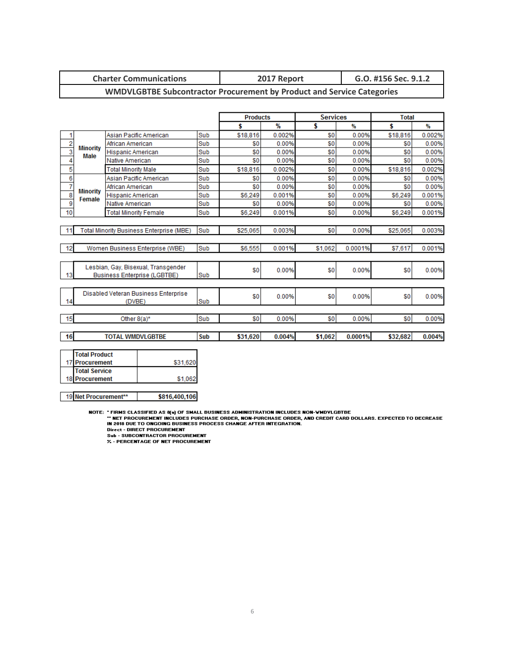| <b>Charter Communications</b> | 2017 Report | G.O. #156 Sec. 9.1.2 |
|-------------------------------|-------------|----------------------|
|-------------------------------|-------------|----------------------|

#### **WMDVLGBTBE Subcontractor Procurement by Product and Service Categories**

|                |                           |                                                 |            | <b>Products</b> |        | <b>Services</b> |         | <b>Total</b> |        |
|----------------|---------------------------|-------------------------------------------------|------------|-----------------|--------|-----------------|---------|--------------|--------|
|                |                           |                                                 |            | \$              | $\%$   | \$              | ₩       | \$           | ₩      |
| 1              |                           | Asian Pacific American                          | Sub        | \$18,816        | 0.002% | \$0             | 0.00%   | \$18,816     | 0.002% |
| $\overline{2}$ | <b>Minority</b>           | African American                                | Sub        | \$0             | 0.00%  | \$0             | 0.00%   | \$0          | 0.00%  |
|                | <b>Male</b>               | Hispanic American                               | Sub        | \$0             | 0.00%  | \$0             | 0.00%   | \$0          | 0.00%  |
| 4              |                           | Native American                                 | Sub        | \$0             | 0.00%  | \$0             | 0.00%   | \$0          | 0.00%  |
| 5              |                           | <b>Total Minority Male</b>                      | Sub        | \$18,816        | 0.002% | \$0             | 0.00%   | \$18,816     | 0.002% |
| 6              |                           | Asian Pacific American                          | Sub        | \$0             | 0.00%  | \$0             | 0.00%   | \$0          | 0.00%  |
| 7              |                           | African American                                | Sub        | \$0             | 0.00%  | \$0             | 0.00%   | \$0          | 0.00%  |
| 8              | <b>Minority</b><br>Female | <b>Hispanic American</b>                        | Sub        | \$6,249         | 0.001% | \$0             | 0.00%   | \$6,249      | 0.001% |
| 9              |                           | Native American                                 | Sub        | \$0             | 0.00%  | \$0             | 0.00%   | \$0          | 0.00%  |
| 10             |                           | <b>Total Minority Female</b>                    | Sub        | \$6,249         | 0.001% | \$0             | 0.00%   | \$6,249      | 0.001% |
|                |                           |                                                 |            |                 |        |                 |         |              |        |
| 11             |                           | <b>Total Minority Business Enterprise (MBE)</b> | <b>Sub</b> | \$25,065        | 0.003% | \$0             | 0.00%   | \$25,065     | 0.003% |
|                |                           |                                                 |            |                 |        |                 |         |              |        |
| 12             |                           | Women Business Enterprise (WBE)                 | Sub        | \$6,555         | 0.001% | \$1.062         | 0.0001% | \$7,617      | 0.001% |
|                |                           |                                                 |            |                 |        |                 |         |              |        |
|                |                           | Lesbian, Gay, Bisexual, Transgender             |            |                 |        |                 |         |              |        |
| 13             |                           | <b>Business Enterprise (LGBTBE)</b>             | Sub        | \$0             | 0.00%  | \$0             | 0.00%   | \$0          | 0.00%  |
|                |                           |                                                 |            |                 |        |                 |         |              |        |
|                |                           | Disabled Veteran Business Enterprise            |            |                 |        |                 |         |              |        |
| 14             |                           | (DVBE)                                          | Sub        | \$0             | 0.00%  | \$0             | 0.00%   | \$0          | 0.00%  |
|                |                           |                                                 |            |                 |        |                 |         |              |        |
| 15             |                           | Other $8(a)^*$                                  | Sub        | \$0             | 0.00%  | \$0             | 0.00%   | \$0          | 0.00%  |
|                |                           |                                                 |            |                 |        |                 |         |              |        |
| 16             |                           | <b>TOTAL WMDVLGBTBE</b>                         | Sub        | \$31,620        | 0.004% | \$1,062         | 0.0001% | \$32,682     | 0.004% |
|                |                           |                                                 |            |                 |        |                 |         |              |        |
|                | <b>Total Product</b>      |                                                 |            |                 |        |                 |         |              |        |

| TTOTAL PROQUET       |          |
|----------------------|----------|
| 17 Procurement       | \$31.620 |
| <b>Total Service</b> |          |
| 18 Procurement       | \$1.062  |
|                      |          |

19 Net Procurement\*\*

NOTE: "FIRMS CLASSIFIED AS 8(a) OF SMALL BUSINESS ADMINISTRATION INCLUDES NON-YMDYLGBTBE<br>"" NET PROCUREMENT INCLUDES PURCHASE ORDER, NON-PURCHASE ORDER, AND CREDIT CARD DOLLARS. EXPECTED TO DECREASE<br>IN 2018 DUE TO ONGOING

\$816,400,106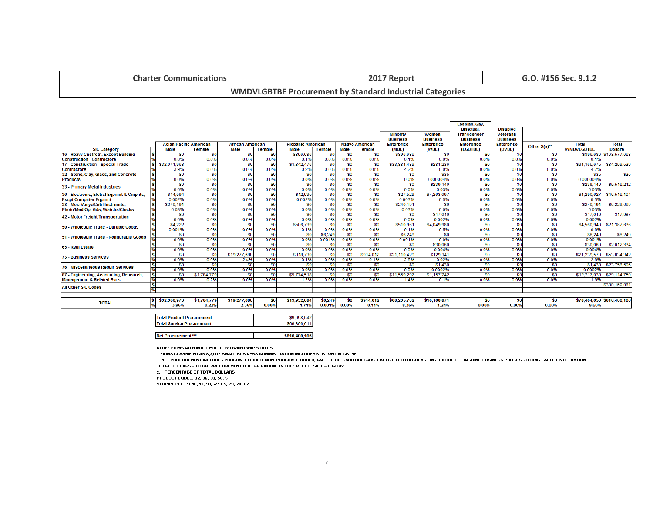| <b>Charter Communications</b>                                   | 2017 Report | G.O. #156 Sec. 9.1.2 |  |  |  |
|-----------------------------------------------------------------|-------------|----------------------|--|--|--|
| <b>WMDVLGBTBE Procurement by Standard Industrial Categories</b> |             |                      |  |  |  |

|                                                         |                             |                               |             |                         |                        |                          |             |                        |                        | <b>Minority</b><br><b>Business</b> | <b>Women</b><br><b>Business</b> | Lesbian, Gay,<br><b>Bisexual</b><br><b>Transgender</b><br><b>Business</b> | <b>Disabled</b><br><b>Veterans</b><br><b>Business</b> |                  |                   |                            |
|---------------------------------------------------------|-----------------------------|-------------------------------|-------------|-------------------------|------------------------|--------------------------|-------------|------------------------|------------------------|------------------------------------|---------------------------------|---------------------------------------------------------------------------|-------------------------------------------------------|------------------|-------------------|----------------------------|
|                                                         |                             | <b>Asian Pacific American</b> |             | <b>African American</b> |                        | <b>Hispanic American</b> |             |                        | <b>Native American</b> | <b>Enterprise</b>                  | <b>Enterprise</b>               | <b>Enterprise</b>                                                         | <b>Enterprise</b>                                     | Other 8(a)**     | <b>Total</b>      | <b>Total</b>               |
| <b>SIC Category</b>                                     |                             | <b>Male</b>                   | Female      | <b>Male</b>             | <b>Female</b>          | <b>Male</b>              | Female      | <b>Male</b>            | Female                 | (MBE)                              | (WBE)                           | (LGBTBE)                                                                  | (DVBE)                                                |                  | <b>WMDVLGBTBE</b> | <b>Dollars</b>             |
| 16 - Heavy Cnstrctn, Except Building                    | 5<br>$\frac{96}{2}$         | \$0<br>0.0%                   | \$0<br>0.0% | \$0                     | <sub>SO</sub>          | \$896,686<br>0.1%        | \$0         | \$0                    | \$0<br>0.0%            | \$896,686                          | \$0<br>0.0%                     | S <sub>0</sub>                                                            | \$0<br>0.0%                                           | \$0              | 0.1%              | \$896,686 \$163,577,663    |
| <b>Construction - Contractors</b>                       | IS                          |                               |             | 0.0%<br>\$0             | 0.0%<br>S <sub>0</sub> | \$1,842,476              | 0.0%        | 0.0%                   |                        | 0.1%<br>\$33,884,439               | \$281.236                       | 0.0%<br>\$0                                                               |                                                       | 0.0%<br>\$0      | \$34,165,675      | \$84,259,539               |
| 17 - Construction - Special Trade<br><b>Contractors</b> |                             | \$32,041,963                  | \$0<br>0.0% |                         | 0.0%                   |                          | -50<br>0.0% | <sub>\$0</sub><br>0.0% | \$0<br>0.0%            |                                    | 0.0%                            | 0.0%                                                                      | \$0<br>0.0%                                           | 0.0%             | 4.2%              |                            |
|                                                         |                             | 3.9%<br>\$0                   | \$0         | 0.0%<br>\$0             | S <sub>0</sub>         | 0.2%<br>\$0              | \$0         | \$0                    | \$0                    | 4.2%<br>\$0                        | \$35                            | \$0                                                                       | \$0                                                   | $s$ <sub>0</sub> | \$35              | \$35                       |
| 32 - Stone, Clay, Glass, and Concrete                   | $\vert$ s<br>$\frac{1}{26}$ |                               | 0.0%        |                         | 0.0%                   |                          |             |                        | 0.0%                   |                                    |                                 |                                                                           | 0.0%                                                  |                  | 0.000004%         |                            |
| <b>Products</b>                                         | 5                           | 0.0%<br>\$0                   | \$0         | 0.0%<br>\$0             | S <sub>0</sub>         | 0.0%<br>\$0              | 0.0%<br>\$0 | 0.0%<br>\$0            | \$0                    | 0.0%<br>\$0                        | 0.000004%<br>\$239,140          | 0.0%                                                                      | \$0                                                   | 0.0%<br>\$0      | \$239.140         | \$5,516.212                |
| 33 - Primary Metal Industries                           |                             | 0.0%                          | 0.0%        | 0.0%                    | 0.0%                   | 0.0%                     | 0.0%        | 0.0%                   | 0.0%                   | 0.0%                               | 0.03%                           | \$0<br>0.0%                                                               | 0.0%                                                  | 0.0%             | 0.03%             |                            |
| 36 - Electronic, Elctrcl Egpmnt & Cmpnts,               |                             | \$14,594                      | \$0         | \$0                     | S <sub>0</sub>         | \$12,935                 | \$0         | \$0                    | \$0                    | \$27,529                           | \$4,263,097                     | \$0                                                                       | \$0                                                   | sol              | \$4,290.627       | \$46,516,104               |
| <b>Excpt Computer Eqpmnt</b>                            |                             | 0.002%                        | 0.0%        | 0.0%                    | 0.0%                   | 0.002%                   | 0.0%        | 0.0%                   | 0.0%                   | 0.003%                             | 0.5%                            | 0.0%                                                                      | 0.0%                                                  | 0.0%             | 0.5%              |                            |
| 38 - Mesr/Anlyz/Cntrl Instrmnts;                        | $ \boldsymbol{\$} $         | \$240.191                     | \$0         | \$0                     | 50 <sub>1</sub>        | \$0                      | \$0         | \$0                    | \$0                    | \$240.191                          | \$0                             | \$0                                                                       | \$0                                                   | \$0              | \$240.191         | \$6,229,669                |
| Photo/Med/Opt Gds; Watchs/Clocks                        | $\frac{9}{6}$               | 0.03%                         | 0.0%        | 0.0%                    | 0.0%                   | 0.0%                     | 0.0%        | 0.0%                   | 0.0%                   | 0.03%                              | 0.0%                            | 0.0%                                                                      | 0.0%                                                  | 0.0%             | 0.03%             |                            |
|                                                         |                             | \$0                           | \$0         | \$0                     | <sub>so</sub>          | \$0                      | \$0         | \$0                    | \$0                    | \$0                                | \$17,010                        | \$0                                                                       | <sub>\$0</sub>                                        | sol              | \$17,010          | \$17,987                   |
| 42 - Motor Freight Transportation                       | $\frac{1}{\%}$              | 0.0%                          | 0.0%        | 0.0%                    | 0.0%                   | 0.0%                     | 0.0%        | 0.0%                   | 0.0%                   | 0.0%                               | 0.002%                          | 0.0%                                                                      | 0.0%                                                  | 0.0%             | 0.002%            |                            |
|                                                         | $\vert$ s                   | \$4,222                       | \$0         | \$0                     | S <sub>0</sub>         | \$506,739                | -50         | \$0                    | \$0                    | \$510,961                          | \$4,049,980                     | \$0                                                                       | S <sub>0</sub>                                        | SO I             | \$4,560,940       | \$21,387,636               |
| 50 - Wholesale Trade - Durable Goods                    | %                           | 0.001%                        | 0.0%        | 0.0%                    | 0.0%                   | 0.1%                     | 0.0%        | 0.0%                   | 0.0%                   | 0.1%                               | 0.5%                            | 0.0%                                                                      | 0.0%                                                  | 0.0%             | 0.6%              |                            |
|                                                         |                             | \$0                           | \$0         | \$0                     | s <sub>0</sub>         | \$0                      | \$6,249     | \$0                    | \$0                    | \$6,249                            | \$0                             | \$0                                                                       | \$0                                                   | \$0              | \$6,249           | \$6,249                    |
| 51 - Wholesale Trade - Nondurable Goods                 |                             | 0.0%                          | 0.0%        | 0.0%                    | 0.0%                   | 0.0%                     | 0.001%      | 0.0%                   | 0.0%                   | 0.001%                             | 0.0%                            | 0.0%                                                                      | 0.0%                                                  | 0.0%             | 0.001%            |                            |
|                                                         | ١s                          | \$0                           | \$0         | \$0                     | S <sub>0</sub>         | \$0                      | \$0         | \$0                    | \$0                    | \$0                                | \$30,060                        | S <sub>0</sub>                                                            | \$0                                                   | s <sub>0</sub>   | \$30,060          | \$2,012,334                |
| 65 - Real Estate                                        |                             | 0.0%                          | 0.0%        | 0.0%                    | 0.0%                   | 0.0%                     | 0.0%        | 0.0%                   | 0.0%                   | 0.0%                               | 0.004%                          | 0.0%                                                                      | 0.0%                                                  | 0.0%             | 0.004%            |                            |
|                                                         | l S                         | \$0                           | \$0         | \$19,277,688            | <sub>SO</sub>          | \$918,730                | \$0         | \$0                    | \$914.012              | \$21.110.429                       | \$129.141                       | S <sub>0</sub>                                                            | \$0                                                   | -SOI             | \$21,239,570      | \$53,834,342               |
| 73 - Business Services                                  |                             | 0.0%                          | 0.0%        | 2.4%                    | 0.0%                   | 0.1%                     | 0.0%        | 0.0%                   | 0.1%                   | 2.6%                               | 0.02%                           | 0.0%                                                                      | 0.0%                                                  | 0.0%             | 26%               |                            |
|                                                         | 15                          | \$0                           | \$0         | \$0                     | S <sub>0</sub>         | \$0                      | \$0         | \$0                    | \$0                    | \$0                                | \$1.430                         | S <sub>0</sub>                                                            | \$0                                                   | S <sub>0</sub>   | \$1,430           | \$23,758,506               |
| 76 - Miscellaneous Repair Services                      |                             | 0.0%                          | 0.0%        | 0.0%                    | 0.0%                   | 0.0%                     | 0.0%        | 0.0%                   | 0.0%                   | 0.0%                               | 0.0002%                         | 0.0%                                                                      | 0.0%                                                  | 0.0%             | 0.0002%           |                            |
| 87 - Engineering, Accounting, Research,                 | $ \boldsymbol{\mathsf{s}} $ | \$0                           | \$1,784,779 | \$0                     | <b>SO</b>              | \$9,774.518              | \$0         | \$0                    | \$0                    | \$11,559,297                       | \$1,157,742                     | <sub>\$0</sub>                                                            | \$0                                                   | -SO I            | \$12,717,039      | \$29,114,750               |
| <b>Management &amp; Related Svcs</b>                    | %                           | 0.0%                          | 0.2%        | 0.0%                    | 0.0%                   | 1.2%                     | 0.0%        | 0.0%                   | 0.0%                   | 1.4%                               | 0.1%                            | 0.0%                                                                      | 0.0%                                                  | 0.0%             | 1.6%              |                            |
|                                                         | Γ\$                         |                               |             |                         |                        |                          |             |                        |                        |                                    |                                 |                                                                           |                                                       |                  |                   | \$380,169,081              |
| <b>All Other SIC Codes</b>                              | $\frac{9}{6}$               |                               |             |                         |                        |                          |             |                        |                        |                                    |                                 |                                                                           |                                                       |                  |                   |                            |
|                                                         |                             |                               |             |                         |                        |                          |             |                        |                        |                                    |                                 |                                                                           |                                                       |                  |                   |                            |
|                                                         | IS I                        | \$32,300,970                  | \$1,784,779 | \$19,277,688            | \$0                    | \$13,952,084             | \$6,249     | \$0                    | \$914,012              | \$68,235,782                       | \$10,168,871                    | \$0                                                                       | \$0                                                   | \$0              |                   | \$78.404.653 \$816.400.106 |
| <b>TOTAL</b>                                            |                             | 3.96%                         | 0.22%       | 2.36%                   | 0.00%                  | 1.71%                    | 0.001%      | 0.00%                  | 0.11%                  | 8.36%                              | 1.24%                           | 0.00%                                                                     | 0.00%                                                 | 0.00%            | 9.60%             |                            |

| <b>Total Product Procurement</b> | \$9,098,042   |
|----------------------------------|---------------|
| <b>Total Service Procurement</b> | \$69,306,611  |
|                                  |               |
| Net Procurement***               | \$816,400,106 |

NOTE: "FIRMS WITH MULIT MINORITY OWNERSHIP STATUS

\*\* FIRMS CLASSIFIED AS 8(a) OF SMALL BUSINESS ADMINISTRATION INCLUDES NON-WMDVLGBTBE

\*\* NET PROCUREMENT INCLUDES PURCHASE ORDER, NON-PURCHASE ORDER, AND CREDIT CARD DOLLARS. EXPECTED TO DECREASE IN 2018 DUE TO ONGOING BUSINESS PROCESS CHANGE AFTER INTEGRATION. TOTAL DOLLARS - TOTAL PROCUREMENT DOLLAR AMOUNT IN THE SPECIFIC SIC CATEGORY

 $\times$  - PERCENTAGE OF TOTAL DOLLARS

PRODUCT CODES: 32, 36, 38, 50, 51

SERVICE CODES: 16, 17, 33, 42, 65, 73, 76, 87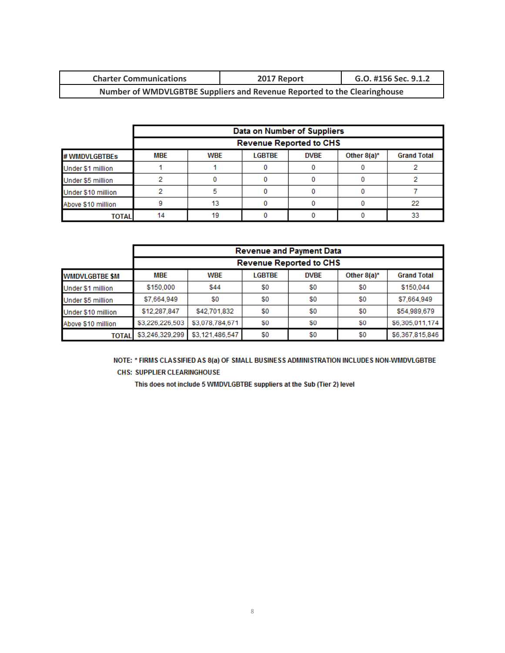| <b>Charter Communications</b>                                            | 2017 Report | G.O. #156 Sec. 9.1.2 |  |  |
|--------------------------------------------------------------------------|-------------|----------------------|--|--|
| Number of WMDVLGBTBE Suppliers and Revenue Reported to the Clearinghouse |             |                      |  |  |

|                    |            |                                |               | Data on Number of Suppliers |                |                    |  |
|--------------------|------------|--------------------------------|---------------|-----------------------------|----------------|--------------------|--|
|                    |            | <b>Revenue Reported to CHS</b> |               |                             |                |                    |  |
| # WMDVLGBTBEs      | <b>MBE</b> | <b>WBE</b>                     | <b>LGBTBE</b> | <b>DVBE</b>                 | Other $8(a)^*$ | <b>Grand Total</b> |  |
| Under \$1 million  |            |                                |               |                             |                |                    |  |
| Under \$5 million  |            |                                |               |                             |                |                    |  |
| Under \$10 million |            |                                |               |                             |                |                    |  |
| Above \$10 million |            | 13                             |               |                             |                | 22                 |  |
| <b>TOTAL</b>       | 14         | 19                             |               |                             |                | 33                 |  |

|                       |                 | <b>Revenue and Payment Data</b> |               |             |                |                    |  |  |
|-----------------------|-----------------|---------------------------------|---------------|-------------|----------------|--------------------|--|--|
|                       |                 | <b>Revenue Reported to CHS</b>  |               |             |                |                    |  |  |
| <b>WMDVLGBTBE \$M</b> | <b>MBE</b>      | <b>WBE</b>                      | <b>LGBTBE</b> | <b>DVBE</b> | Other $8(a)^*$ | <b>Grand Total</b> |  |  |
| Under \$1 million     | \$150,000       | \$44                            | \$0           | \$0         | \$0            | \$150.044          |  |  |
| Under \$5 million     | \$7,664,949     | \$0                             | \$0           | \$0         | \$0            | \$7,664,949        |  |  |
| Under \$10 million    | \$12,287,847    | \$42,701,832                    | \$0           | \$0         | \$0            | \$54,989,679       |  |  |
| Above \$10 million    | \$3,226,226,503 | \$3,078,784,671                 | \$0           | \$0         | \$0            | \$6,305,011,174    |  |  |
| <b>TOTAL</b>          | \$3,246,329,299 | \$3,121,486,547                 | \$0           | \$0         | \$0            | \$6,367,815,846    |  |  |

NOTE: \* FIRMS CLASSIFIED AS 8(a) OF SMALL BUSINESS ADMINISTRATION INCLUDES NON-WMDVLGBTBE **CHS: SUPPLIER CLEARINGHOUSE** 

This does not include 5 WMDVLGBTBE suppliers at the Sub (Tier 2) level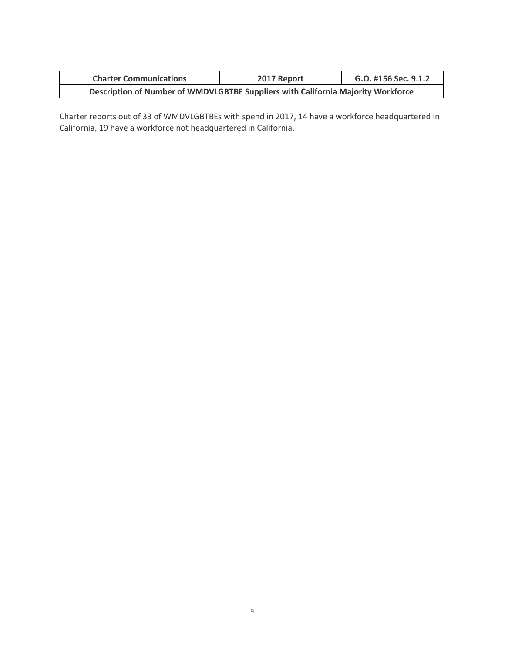| <b>Charter Communications</b>                                                    | 2017 Report | G.O. #156 Sec. 9.1.2 |  |  |  |
|----------------------------------------------------------------------------------|-------------|----------------------|--|--|--|
| Description of Number of WMDVLGBTBE Suppliers with California Majority Workforce |             |                      |  |  |  |

Charter reports out of 33 of WMDVLGBTBEs with spend in 2017, 14 have a workforce headquartered in California, 19 have a workforce not headquartered in California.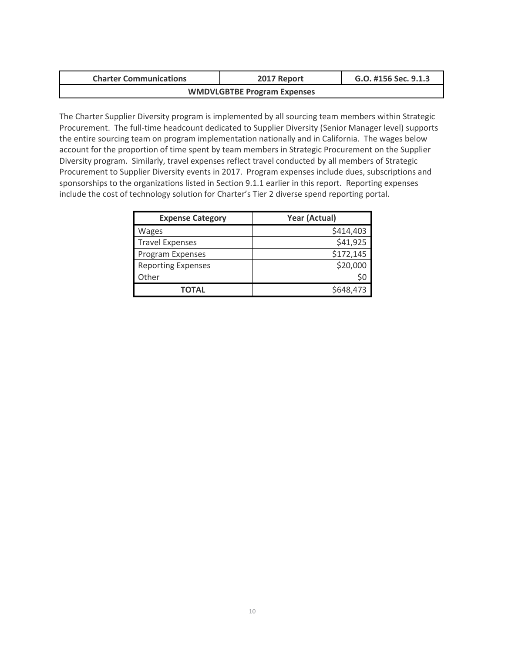| <b>Charter Communications</b>      | 2017 Report | G.O. #156 Sec. 9.1.3 |  |  |  |
|------------------------------------|-------------|----------------------|--|--|--|
| <b>WMDVLGBTBE Program Expenses</b> |             |                      |  |  |  |

The Charter Supplier Diversity program is implemented by all sourcing team members within Strategic Procurement. The full-time headcount dedicated to Supplier Diversity (Senior Manager level) supports the entire sourcing team on program implementation nationally and in California. The wages below account for the proportion of time spent by team members in Strategic Procurement on the Supplier Diversity program. Similarly, travel expenses reflect travel conducted by all members of Strategic Procurement to Supplier Diversity events in 2017. Program expenses include dues, subscriptions and sponsorships to the organizations listed in Section 9.1.1 earlier in this report. Reporting expenses include the cost of technology solution for Charter's Tier 2 diverse spend reporting portal.

| <b>Expense Category</b>   | Year (Actual) |
|---------------------------|---------------|
| Wages                     | \$414,403     |
| <b>Travel Expenses</b>    | \$41,925      |
| Program Expenses          | \$172,145     |
| <b>Reporting Expenses</b> | \$20,000      |
| Other                     | S0            |
| <b>TOTAL</b>              | \$648,473     |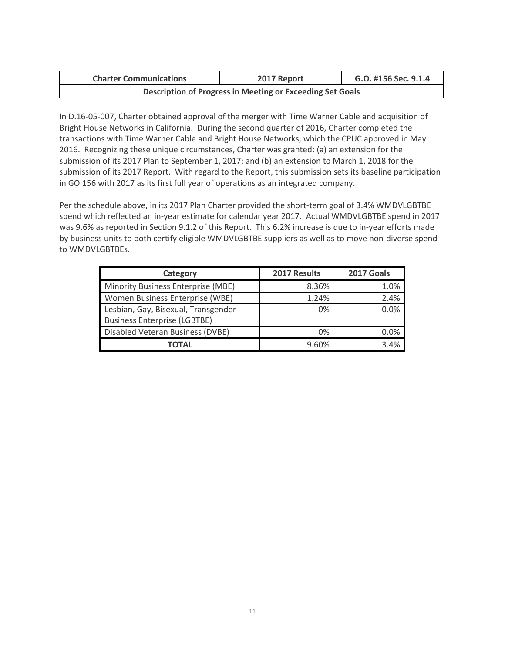| <b>Charter Communications</b>                             | 2017 Report | G.O. #156 Sec. 9.1.4 |  |  |  |
|-----------------------------------------------------------|-------------|----------------------|--|--|--|
| Description of Progress in Meeting or Exceeding Set Goals |             |                      |  |  |  |

In D.16-05-007, Charter obtained approval of the merger with Time Warner Cable and acquisition of Bright House Networks in California. During the second quarter of 2016, Charter completed the transactions with Time Warner Cable and Bright House Networks, which the CPUC approved in May 2016. Recognizing these unique circumstances, Charter was granted: (a) an extension for the submission of its 2017 Plan to September 1, 2017; and (b) an extension to March 1, 2018 for the submission of its 2017 Report. With regard to the Report, this submission sets its baseline participation in GO 156 with 2017 as its first full year of operations as an integrated company.

Per the schedule above, in its 2017 Plan Charter provided the short-term goal of 3.4% WMDVLGBTBE spend which reflected an in-year estimate for calendar year 2017. Actual WMDVLGBTBE spend in 2017 was 9.6% as reported in Section 9.1.2 of this Report. This 6.2% increase is due to in-year efforts made by business units to both certify eligible WMDVLGBTBE suppliers as well as to move non-diverse spend to WMDVLGBTBEs.

| Category                            | 2017 Results | 2017 Goals |
|-------------------------------------|--------------|------------|
| Minority Business Enterprise (MBE)  | 8.36%        | 1.0%       |
| Women Business Enterprise (WBE)     | 1.24%        | 2.4%       |
| Lesbian, Gay, Bisexual, Transgender | $0\%$        | 0.0%       |
| <b>Business Enterprise (LGBTBE)</b> |              |            |
| Disabled Veteran Business (DVBE)    | $0\%$        | 0.0%       |
| ΤΟΤΑL                               | 9.60%        | 34%        |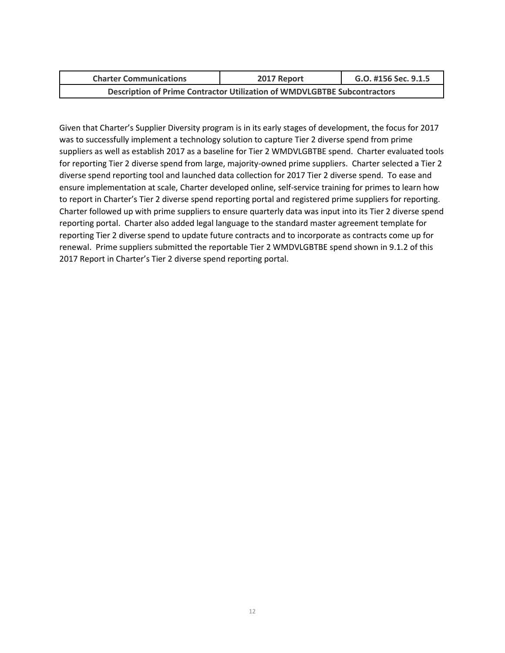| <b>Charter Communications</b>                                                   | 2017 Report | G.O. #156 Sec. 9.1.5 |  |  |  |
|---------------------------------------------------------------------------------|-------------|----------------------|--|--|--|
| <b>Description of Prime Contractor Utilization of WMDVLGBTBE Subcontractors</b> |             |                      |  |  |  |

Given that Charter's Supplier Diversity program is in its early stages of development, the focus for 2017 was to successfully implement a technology solution to capture Tier 2 diverse spend from prime suppliers as well as establish 2017 as a baseline for Tier 2 WMDVLGBTBE spend. Charter evaluated tools for reporting Tier 2 diverse spend from large, majority-owned prime suppliers. Charter selected a Tier 2 diverse spend reporting tool and launched data collection for 2017 Tier 2 diverse spend. To ease and ensure implementation at scale, Charter developed online, self-service training for primes to learn how to report in Charter's Tier 2 diverse spend reporting portal and registered prime suppliers for reporting. Charter followed up with prime suppliers to ensure quarterly data was input into its Tier 2 diverse spend reporting portal. Charter also added legal language to the standard master agreement template for reporting Tier 2 diverse spend to update future contracts and to incorporate as contracts come up for renewal. Prime suppliers submitted the reportable Tier 2 WMDVLGBTBE spend shown in 9.1.2 of this 2017 Report in Charter's Tier 2 diverse spend reporting portal.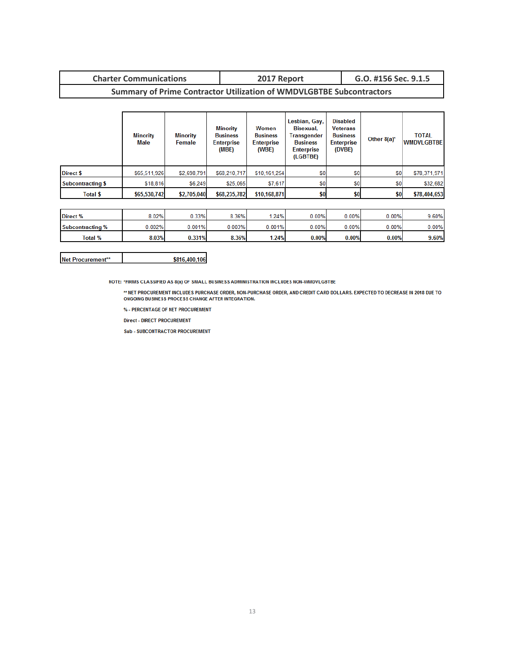# **Charter Communications 2017 Report G.O. #156 Sec. 9.1.5**

## **Summary of Prime Contractor Utilization of WMDVLGBTBE Subcontractors**

|                          | <b>Minority</b><br>Male | <b>Minority</b><br>Female | Minority<br><b>Business</b><br><b>Enterprise</b><br>(MBE) | Women<br><b>Business</b><br><b>Enterprise</b><br>(WBE) | Lesbian, Gay,<br>Bisexual.<br><b>Transgender</b><br><b>Business</b><br><b>Enterprise</b><br>(LGBTBE) | <b>Disabled</b><br><b>Veterans</b><br><b>Business</b><br><b>Enterprise</b><br>(DVBE) | Other $8(a)^*$ | <b>TOTAL</b><br><b>WMDVLGBTBE</b> |
|--------------------------|-------------------------|---------------------------|-----------------------------------------------------------|--------------------------------------------------------|------------------------------------------------------------------------------------------------------|--------------------------------------------------------------------------------------|----------------|-----------------------------------|
| <b>Direct \$</b>         | \$65,511,926            | \$2,698,791               | \$68,210,717                                              | \$10,161,254                                           | S <sub>0</sub>                                                                                       | \$0                                                                                  | \$0            | \$78,371,971                      |
| <b>Subcontracting \$</b> | \$18,816                | \$6,249                   | \$25,065                                                  | \$7,617                                                | \$0                                                                                                  | \$0                                                                                  | \$0            | \$32,682                          |
| Total \$                 | \$65,530,742            | \$2,705,040               | \$68,235,782                                              | \$10,168,871                                           | \$0.                                                                                                 | \$0                                                                                  | \$0            | \$78,404,653                      |

| Direct %         | 8.02%  | $J.33\%$ | 8.36%  | 1.24%  | $0.00\%$ | 0.00% | $0.00\%$ | 9.60%    |
|------------------|--------|----------|--------|--------|----------|-------|----------|----------|
| Subcontracting % | 0.002% | 0.001%   | 0.003% | 0.001% | $0.00\%$ | 0.00% | $0.00\%$ | $0.00\%$ |
| Total %          | 8.03%  | 0.331%   | 8.36%  | 1.24%  | 0.00%    | 0.00% | 0.00%    | 9.60%    |

| Net Procurement** | \$816,400,106 |
|-------------------|---------------|
|-------------------|---------------|

NOTE: \*FIRMS CLASSIFIED AS 8(a) OF SMALL BUSINESS ADMINISTRATION INCLUDES NON-WMDVLGBTBE

\*\* NET PROCUREMENT INCLUDES PURCHASE ORDER, NON-PURCHASE ORDER, AND CREDIT CARD DOLLARS. EXPECTED TO DECREASE IN 2018 DUE TO ONGOING BUSINESS PROCESS CHANGE AFTER INTEGRATION.

% - PERCENTAGE OF NET PROCUREMENT

**Direct - DIRECT PROCUREMENT** 

**Sub - SUBCONTRACTOR PROCUREMENT**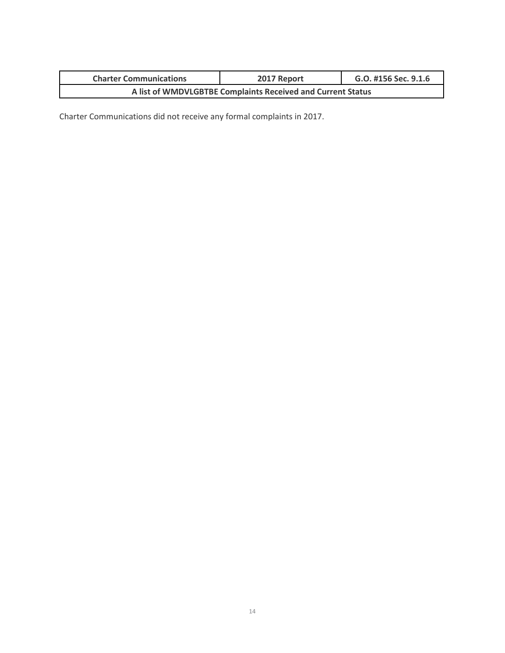| <b>Charter Communications</b> | 2017 Report                                                 | G.O. #156 Sec. 9.1.6 |
|-------------------------------|-------------------------------------------------------------|----------------------|
|                               | A list of WMDVLGBTBE Complaints Received and Current Status |                      |

Charter Communications did not receive any formal complaints in 2017.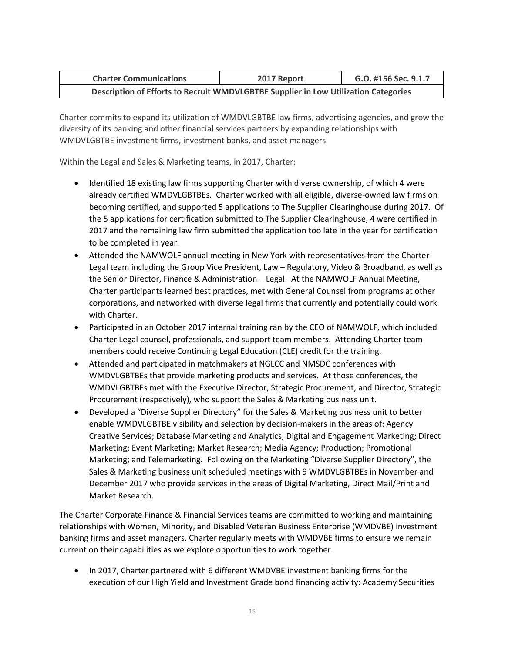| <b>Charter Communications</b>                                                       | 2017 Report | G.O. #156 Sec. 9.1.7 |
|-------------------------------------------------------------------------------------|-------------|----------------------|
| Description of Efforts to Recruit WMDVLGBTBE Supplier in Low Utilization Categories |             |                      |

Charter commits to expand its utilization of WMDVLGBTBE law firms, advertising agencies, and grow the diversity of its banking and other financial services partners by expanding relationships with WMDVLGBTBE investment firms, investment banks, and asset managers.

Within the Legal and Sales & Marketing teams, in 2017, Charter:

- Identified 18 existing law firms supporting Charter with diverse ownership, of which 4 were already certified WMDVLGBTBEs. Charter worked with all eligible, diverse-owned law firms on becoming certified, and supported 5 applications to The Supplier Clearinghouse during 2017. Of the 5 applications for certification submitted to The Supplier Clearinghouse, 4 were certified in 2017 and the remaining law firm submitted the application too late in the year for certification to be completed in year.
- Attended the NAMWOLF annual meeting in New York with representatives from the Charter Legal team including the Group Vice President, Law – Regulatory, Video & Broadband, as well as the Senior Director, Finance & Administration – Legal. At the NAMWOLF Annual Meeting, Charter participants learned best practices, met with General Counsel from programs at other corporations, and networked with diverse legal firms that currently and potentially could work with Charter.
- Participated in an October 2017 internal training ran by the CEO of NAMWOLF, which included Charter Legal counsel, professionals, and support team members. Attending Charter team members could receive Continuing Legal Education (CLE) credit for the training.
- Attended and participated in matchmakers at NGLCC and NMSDC conferences with WMDVLGBTBEs that provide marketing products and services. At those conferences, the WMDVLGBTBEs met with the Executive Director, Strategic Procurement, and Director, Strategic Procurement (respectively), who support the Sales & Marketing business unit.
- Developed a "Diverse Supplier Directory" for the Sales & Marketing business unit to better enable WMDVLGBTBE visibility and selection by decision-makers in the areas of: Agency Creative Services; Database Marketing and Analytics; Digital and Engagement Marketing; Direct Marketing; Event Marketing; Market Research; Media Agency; Production; Promotional Marketing; and Telemarketing. Following on the Marketing "Diverse Supplier Directory", the Sales & Marketing business unit scheduled meetings with 9 WMDVLGBTBEs in November and December 2017 who provide services in the areas of Digital Marketing, Direct Mail/Print and Market Research.

The Charter Corporate Finance & Financial Services teams are committed to working and maintaining relationships with Women, Minority, and Disabled Veteran Business Enterprise (WMDVBE) investment banking firms and asset managers. Charter regularly meets with WMDVBE firms to ensure we remain current on their capabilities as we explore opportunities to work together.

 In 2017, Charter partnered with 6 different WMDVBE investment banking firms for the execution of our High Yield and Investment Grade bond financing activity: Academy Securities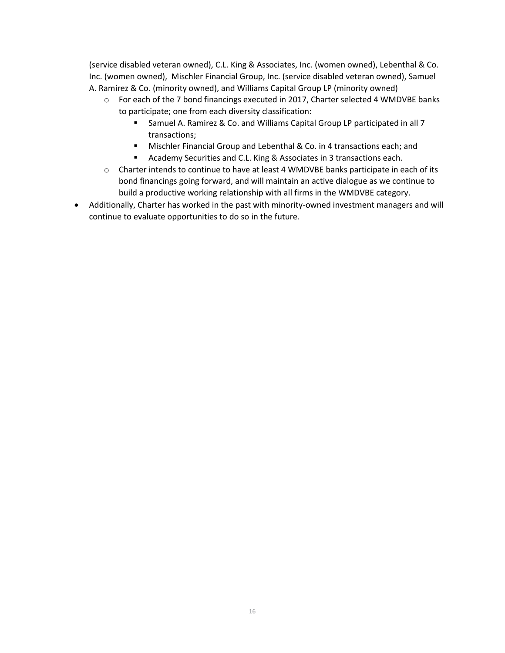(service disabled veteran owned), C.L. King & Associates, Inc. (women owned), Lebenthal & Co. Inc. (women owned), Mischler Financial Group, Inc. (service disabled veteran owned), Samuel A. Ramirez & Co. (minority owned), and Williams Capital Group LP (minority owned)

- $\circ$  For each of the 7 bond financings executed in 2017, Charter selected 4 WMDVBE banks to participate; one from each diversity classification:
	- Samuel A. Ramirez & Co. and Williams Capital Group LP participated in all 7 transactions;
	- **Mischler Financial Group and Lebenthal & Co. in 4 transactions each; and**
	- **Academy Securities and C.L. King & Associates in 3 transactions each.**
- $\circ$  Charter intends to continue to have at least 4 WMDVBE banks participate in each of its bond financings going forward, and will maintain an active dialogue as we continue to build a productive working relationship with all firms in the WMDVBE category.
- Additionally, Charter has worked in the past with minority-owned investment managers and will continue to evaluate opportunities to do so in the future.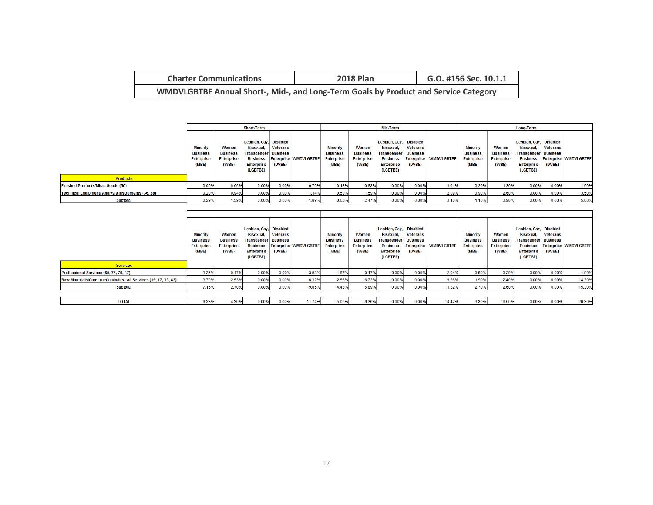| <b>Charter Communications</b>                                                       | <b>2018 Plan</b> | G.O. #156 Sec. 10.1.1 |
|-------------------------------------------------------------------------------------|------------------|-----------------------|
| WMDVLGBTBE Annual Short-, Mid-, and Long-Term Goals by Product and Service Category |                  |                       |

|                                                           | <b>Short-Term</b>                                                |                                                        |                                                                                                                               |                           | Mid-Term                     |                                                                  |                                                        |                                                                                                | <b>Long-Term</b>                                                |                              |                                                                  |                                                        |                                                                                                                   |                    |                              |
|-----------------------------------------------------------|------------------------------------------------------------------|--------------------------------------------------------|-------------------------------------------------------------------------------------------------------------------------------|---------------------------|------------------------------|------------------------------------------------------------------|--------------------------------------------------------|------------------------------------------------------------------------------------------------|-----------------------------------------------------------------|------------------------------|------------------------------------------------------------------|--------------------------------------------------------|-------------------------------------------------------------------------------------------------------------------|--------------------|------------------------------|
|                                                           | <b>Minority</b><br><b>Business</b><br><b>Enterprise</b><br>(MBE) | Women<br><b>Business</b><br><b>Enterprise</b><br>(WBE) | Lesbian, Gay, Disabled<br><b>Bisexual.</b><br><b>Transgender Business</b><br><b>Business</b><br><b>Enterprise</b><br>(LGBTBE) | <b>Veterans</b><br>(DVBE) | <b>Enterprise WMDVLGBTBE</b> | <b>Minority</b><br><b>Business</b><br><b>Enterprise</b><br>(MBE) | Women<br><b>Business</b><br><b>Enterprise</b><br>(WBE) | Lesbian, Gay,<br>Bisexual.<br>Transgender!<br><b>Business</b><br><b>Enterprise</b><br>(LGBTBE) | <b>Disabled</b><br><b>Veterans</b><br><b>Business</b><br>(DVBE) | <b>Enterprise WMDVLGBTBE</b> | <b>Minority</b><br><b>Business</b><br><b>Enterprise</b><br>(MBE) | Women<br><b>Business</b><br><b>Enterprise</b><br>(WBE) | Lesbian, Gay, Disabled<br>Bisexual.<br>Transgender   Business<br><b>Business</b><br><b>Enterprise</b><br>(LGBTBE) | Veterans<br>(DVBE) | <b>Enterprise WMDVLGBTBE</b> |
| <b>Products</b>                                           |                                                                  |                                                        |                                                                                                                               |                           |                              |                                                                  |                                                        |                                                                                                |                                                                 |                              |                                                                  |                                                        |                                                                                                                   |                    |                              |
| <b>Finished Products/Misc. Goods (50)</b>                 | 0.09%                                                            | 0.66%                                                  | 0.00%                                                                                                                         | 0.00%                     | 0.75%                        | 0.13%                                                            | 0.88%                                                  | 0.00%                                                                                          | 0.00%                                                           | 1.01%                        | 0.20%                                                            | 1.30%                                                  | 0.00%                                                                                                             | 0.00%              | 1.50%                        |
| <b>Technical Equipment/ Analysis Instruments (36, 38)</b> | 0.20%                                                            | 0.94%                                                  | 0.00%                                                                                                                         | 0.00%                     | 1.14%                        | 0.50%                                                            | 1.59%                                                  | 0.00%                                                                                          | 0.00%                                                           | 2.09%                        | 0.90%                                                            | 2.60%                                                  | 0.00%                                                                                                             | 0.00%              | 3.50%                        |
| <b>Subtotal</b>                                           | 0.29%                                                            | 1.59%                                                  | 0.00%                                                                                                                         | 0.00%                     | 1.89%                        | 0.63%                                                            | 2.47%                                                  | 0.00%                                                                                          | 0.00%                                                           | 3.10%                        | 1.10%                                                            | 3.90%                                                  | 0.00%                                                                                                             | 0.00%              | 5.00%                        |

| <b>Services</b>                                                 | <b>Minority</b><br><b>Business</b><br><b>Enterprise</b><br>(MBE) | Women<br><b>Business</b><br><b>Enterprise</b><br>(WBE) | Lesbian, Gay, Disabled<br>Bisexual.<br><b>Transgender Business</b><br><b>Business</b><br><b>Enterprise</b><br>(LGBTBE) | <b>Veterans</b><br>(DVBE) | <b>Enterprise WMDVLGBTBE</b> | <b>Minority</b><br><b>Business</b><br><b>Enterprise</b><br>(MBE) | Women<br><b>Business</b><br><b>Enterprise</b><br>(WBE) | Lesbian, Gay,<br><b>Bisexual.</b><br><b>Transgender</b><br><b>Business</b><br><b>Enterprise</b><br>(LGBTBE) | <b>Disabled</b><br><b>Veterans</b><br><b>Business</b><br><b>Enterprise</b><br>(DVBE) | <b>WMDVLGBTBE</b> | <b>Minority</b><br><b>Business</b><br><b>Enterprise</b><br>(MBE) | Women<br><b>Business</b><br><b>Enterprise</b><br>(WBE) | Lesbian, Gay, Disabled<br>Bisexual.<br><b>Transgender   Business</b><br><b>Business</b><br><b>Enterprise</b><br>(LGBTBE) | <b>Veterans</b><br>(DVBE) | <b>Enterprise WMDVLGBTBE</b> |
|-----------------------------------------------------------------|------------------------------------------------------------------|--------------------------------------------------------|------------------------------------------------------------------------------------------------------------------------|---------------------------|------------------------------|------------------------------------------------------------------|--------------------------------------------------------|-------------------------------------------------------------------------------------------------------------|--------------------------------------------------------------------------------------|-------------------|------------------------------------------------------------------|--------------------------------------------------------|--------------------------------------------------------------------------------------------------------------------------|---------------------------|------------------------------|
|                                                                 |                                                                  |                                                        |                                                                                                                        |                           |                              |                                                                  |                                                        |                                                                                                             |                                                                                      |                   |                                                                  |                                                        |                                                                                                                          |                           |                              |
| Professional Services (65, 73, 76, 87)                          | 3.36%                                                            | 0.17%                                                  | 0.00%                                                                                                                  | 0.00%                     | 3.53%                        | 1.87%                                                            | 0.17%                                                  | 0.00%                                                                                                       | 0.009                                                                                | 2.04%             | 0.80%                                                            | 0.20%                                                  | 0.00%                                                                                                                    | 0.00%                     | 1.00%                        |
| Raw Materials/Construction/Industrail Services (16, 17, 33, 42) | 3.79%                                                            | 2.53%                                                  | 0.00%                                                                                                                  | 0.00%                     | 6.32%                        | 2.56%                                                            | 6.72%                                                  | 0.00%                                                                                                       | 0.009                                                                                | 9.28%             | 1.90%                                                            | 12.40%                                                 | 0.00%                                                                                                                    | 0.00%                     | 14.30%                       |
| <b>Subtotal</b>                                                 | 7.15%                                                            | 2.70%                                                  | 0.00%                                                                                                                  | 0.00%                     | 9.85%                        | 4.43%                                                            | 6.89%                                                  | 0.00%                                                                                                       | 0.009                                                                                | 11.32%            | 2.70%                                                            | 12.60%                                                 | 0.00%                                                                                                                    | 0.00%                     | 15.30%                       |
|                                                                 |                                                                  |                                                        |                                                                                                                        |                           |                              |                                                                  |                                                        |                                                                                                             |                                                                                      |                   |                                                                  |                                                        |                                                                                                                          |                           |                              |
| <b>TOTAL</b>                                                    | 9.23%                                                            | 4.30%                                                  | 0.00%                                                                                                                  | 0.00%                     | 11.74%                       | 5.06%                                                            | 9.36%                                                  | 0.00%                                                                                                       | 0.00%                                                                                | 14.42%            | 3.80%                                                            | 16.50%                                                 | 0.00%                                                                                                                    | 0.00%                     | 20.30%                       |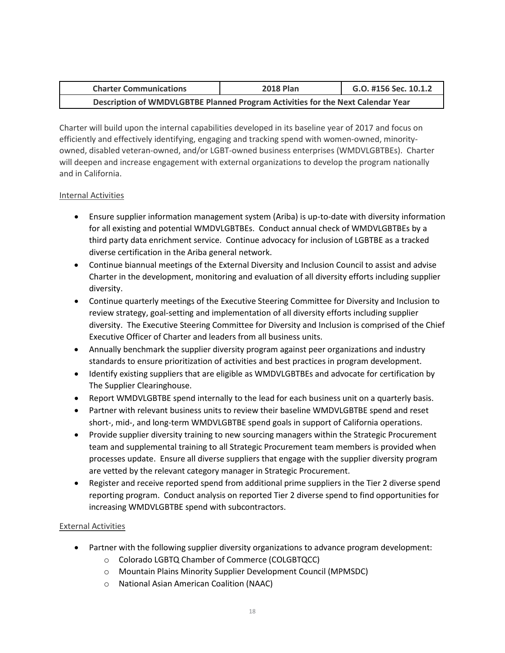| <b>Charter Communications</b>                                                   | <b>2018 Plan</b> | G.O. #156 Sec. 10.1.2 |
|---------------------------------------------------------------------------------|------------------|-----------------------|
| Description of WMDVLGBTBE Planned Program Activities for the Next Calendar Year |                  |                       |

Charter will build upon the internal capabilities developed in its baseline year of 2017 and focus on efficiently and effectively identifying, engaging and tracking spend with women-owned, minorityowned, disabled veteran-owned, and/or LGBT-owned business enterprises (WMDVLGBTBEs). Charter will deepen and increase engagement with external organizations to develop the program nationally and in California.

#### Internal Activities

- Ensure supplier information management system (Ariba) is up-to-date with diversity information for all existing and potential WMDVLGBTBEs. Conduct annual check of WMDVLGBTBEs by a third party data enrichment service. Continue advocacy for inclusion of LGBTBE as a tracked diverse certification in the Ariba general network.
- Continue biannual meetings of the External Diversity and Inclusion Council to assist and advise Charter in the development, monitoring and evaluation of all diversity efforts including supplier diversity.
- Continue quarterly meetings of the Executive Steering Committee for Diversity and Inclusion to review strategy, goal-setting and implementation of all diversity efforts including supplier diversity. The Executive Steering Committee for Diversity and Inclusion is comprised of the Chief Executive Officer of Charter and leaders from all business units.
- Annually benchmark the supplier diversity program against peer organizations and industry standards to ensure prioritization of activities and best practices in program development.
- Identify existing suppliers that are eligible as WMDVLGBTBEs and advocate for certification by The Supplier Clearinghouse.
- Report WMDVLGBTBE spend internally to the lead for each business unit on a quarterly basis.
- Partner with relevant business units to review their baseline WMDVLGBTBE spend and reset short-, mid-, and long-term WMDVLGBTBE spend goals in support of California operations.
- Provide supplier diversity training to new sourcing managers within the Strategic Procurement team and supplemental training to all Strategic Procurement team members is provided when processes update. Ensure all diverse suppliers that engage with the supplier diversity program are vetted by the relevant category manager in Strategic Procurement.
- Register and receive reported spend from additional prime suppliers in the Tier 2 diverse spend reporting program. Conduct analysis on reported Tier 2 diverse spend to find opportunities for increasing WMDVLGBTBE spend with subcontractors.

### External Activities

- Partner with the following supplier diversity organizations to advance program development:
	- o Colorado LGBTQ Chamber of Commerce (COLGBTQCC)
	- o Mountain Plains Minority Supplier Development Council (MPMSDC)
	- o National Asian American Coalition (NAAC)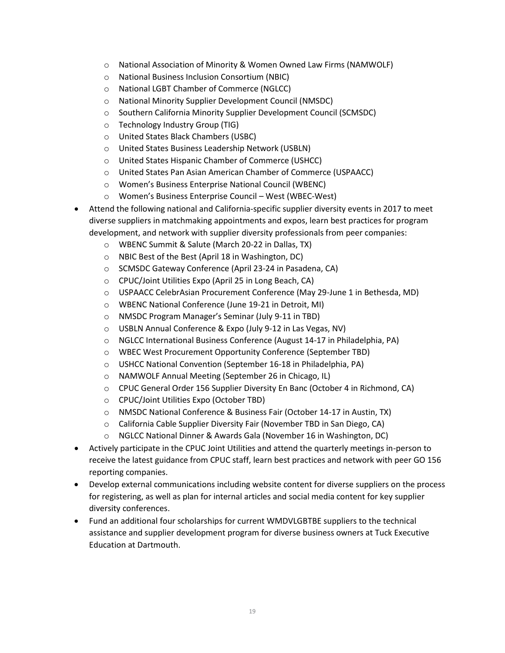- o National Association of Minority & Women Owned Law Firms (NAMWOLF)
- o National Business Inclusion Consortium (NBIC)
- o National LGBT Chamber of Commerce (NGLCC)
- o National Minority Supplier Development Council (NMSDC)
- o Southern California Minority Supplier Development Council (SCMSDC)
- o Technology Industry Group (TIG)
- o United States Black Chambers (USBC)
- o United States Business Leadership Network (USBLN)
- o United States Hispanic Chamber of Commerce (USHCC)
- o United States Pan Asian American Chamber of Commerce (USPAACC)
- o Women's Business Enterprise National Council (WBENC)
- o Women's Business Enterprise Council West (WBEC-West)
- Attend the following national and California-specific supplier diversity events in 2017 to meet diverse suppliers in matchmaking appointments and expos, learn best practices for program development, and network with supplier diversity professionals from peer companies:
	- o WBENC Summit & Salute (March 20-22 in Dallas, TX)
	- o NBIC Best of the Best (April 18 in Washington, DC)
	- o SCMSDC Gateway Conference (April 23-24 in Pasadena, CA)
	- o CPUC/Joint Utilities Expo (April 25 in Long Beach, CA)
	- o USPAACC CelebrAsian Procurement Conference (May 29-June 1 in Bethesda, MD)
	- o WBENC National Conference (June 19-21 in Detroit, MI)
	- o NMSDC Program Manager's Seminar (July 9-11 in TBD)
	- o USBLN Annual Conference & Expo (July 9-12 in Las Vegas, NV)
	- o NGLCC International Business Conference (August 14-17 in Philadelphia, PA)
	- o WBEC West Procurement Opportunity Conference (September TBD)
	- o USHCC National Convention (September 16-18 in Philadelphia, PA)
	- o NAMWOLF Annual Meeting (September 26 in Chicago, IL)
	- o CPUC General Order 156 Supplier Diversity En Banc (October 4 in Richmond, CA)
	- o CPUC/Joint Utilities Expo (October TBD)
	- o NMSDC National Conference & Business Fair (October 14-17 in Austin, TX)
	- o California Cable Supplier Diversity Fair (November TBD in San Diego, CA)
	- o NGLCC National Dinner & Awards Gala (November 16 in Washington, DC)
- Actively participate in the CPUC Joint Utilities and attend the quarterly meetings in-person to receive the latest guidance from CPUC staff, learn best practices and network with peer GO 156 reporting companies.
- Develop external communications including website content for diverse suppliers on the process for registering, as well as plan for internal articles and social media content for key supplier diversity conferences.
- Fund an additional four scholarships for current WMDVLGBTBE suppliers to the technical assistance and supplier development program for diverse business owners at Tuck Executive Education at Dartmouth.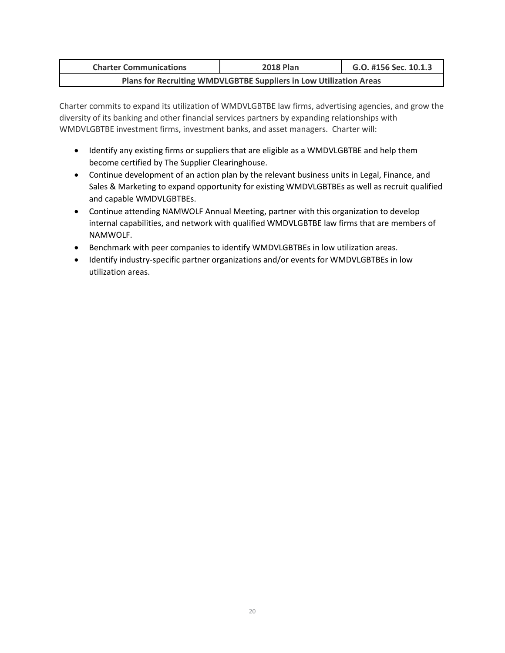| <b>Charter Communications</b> | <b>2018 Plan</b>                                                   | G.O. #156 Sec. 10.1.3 |
|-------------------------------|--------------------------------------------------------------------|-----------------------|
|                               | Plans for Recruiting WMDVLGBTBE Suppliers in Low Utilization Areas |                       |

Charter commits to expand its utilization of WMDVLGBTBE law firms, advertising agencies, and grow the diversity of its banking and other financial services partners by expanding relationships with WMDVLGBTBE investment firms, investment banks, and asset managers. Charter will:

- Identify any existing firms or suppliers that are eligible as a WMDVLGBTBE and help them become certified by The Supplier Clearinghouse.
- Continue development of an action plan by the relevant business units in Legal, Finance, and Sales & Marketing to expand opportunity for existing WMDVLGBTBEs as well as recruit qualified and capable WMDVLGBTBEs.
- Continue attending NAMWOLF Annual Meeting, partner with this organization to develop internal capabilities, and network with qualified WMDVLGBTBE law firms that are members of NAMWOLF.
- Benchmark with peer companies to identify WMDVLGBTBEs in low utilization areas.
- Identify industry-specific partner organizations and/or events for WMDVLGBTBEs in low utilization areas.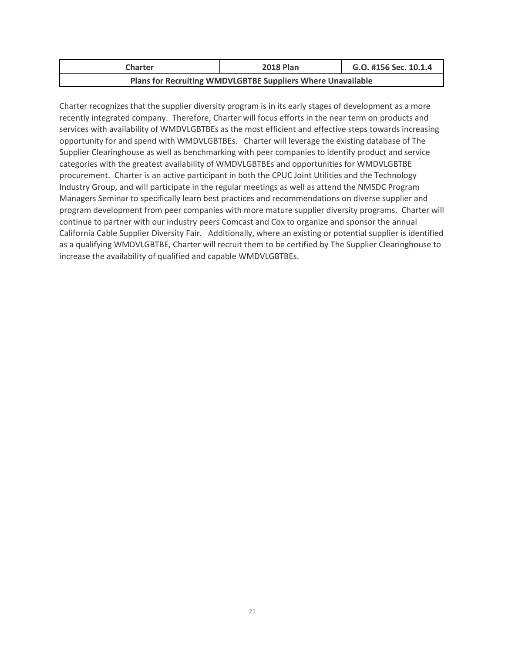| <b>Charter</b>                                              | <b>2018 Plan</b> | G.O. #156 Sec. 10.1.4 |  |  |  |  |  |
|-------------------------------------------------------------|------------------|-----------------------|--|--|--|--|--|
| Plans for Recruiting WMDVLGBTBE Suppliers Where Unavailable |                  |                       |  |  |  |  |  |

Charter recognizes that the supplier diversity program is in its early stages of development as a more recently integrated company. Therefore, Charter will focus efforts in the near term on products and services with availability of WMDVLGBTBEs as the most efficient and effective steps towards increasing opportunity for and spend with WMDVLGBTBEs. Charter will leverage the existing database of The Supplier Clearinghouse as well as benchmarking with peer companies to identify product and service categories with the greatest availability of WMDVLGBTBEs and opportunities for WMDVLGBTBE procurement. Charter is an active participant in both the CPUC Joint Utilities and the Technology Industry Group, and will participate in the regular meetings as well as attend the NMSDC Program Managers Seminar to specifically learn best practices and recommendations on diverse supplier and program development from peer companies with more mature supplier diversity programs. Charter will continue to partner with our industry peers Comcast and Cox to organize and sponsor the annual California Cable Supplier Diversity Fair. Additionally, where an existing or potential supplier is identified as a qualifying WMDVLGBTBE, Charter will recruit them to be certified by The Supplier Clearinghouse to increase the availability of qualified and capable WMDVLGBTBEs.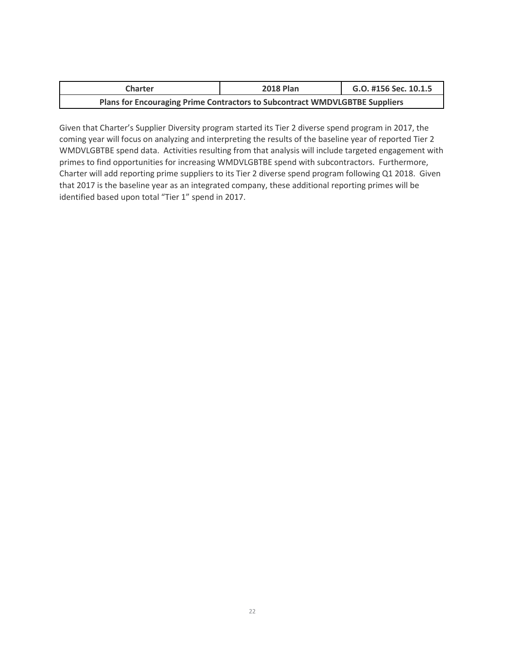| Charter                                                                     | <b>2018 Plan</b> | G.O. #156 Sec. 10.1.5 |
|-----------------------------------------------------------------------------|------------------|-----------------------|
| Plans for Encouraging Prime Contractors to Subcontract WMDVLGBTBE Suppliers |                  |                       |

Given that Charter's Supplier Diversity program started its Tier 2 diverse spend program in 2017, the coming year will focus on analyzing and interpreting the results of the baseline year of reported Tier 2 WMDVLGBTBE spend data. Activities resulting from that analysis will include targeted engagement with primes to find opportunities for increasing WMDVLGBTBE spend with subcontractors. Furthermore, Charter will add reporting prime suppliers to its Tier 2 diverse spend program following Q1 2018. Given that 2017 is the baseline year as an integrated company, these additional reporting primes will be identified based upon total "Tier 1" spend in 2017.